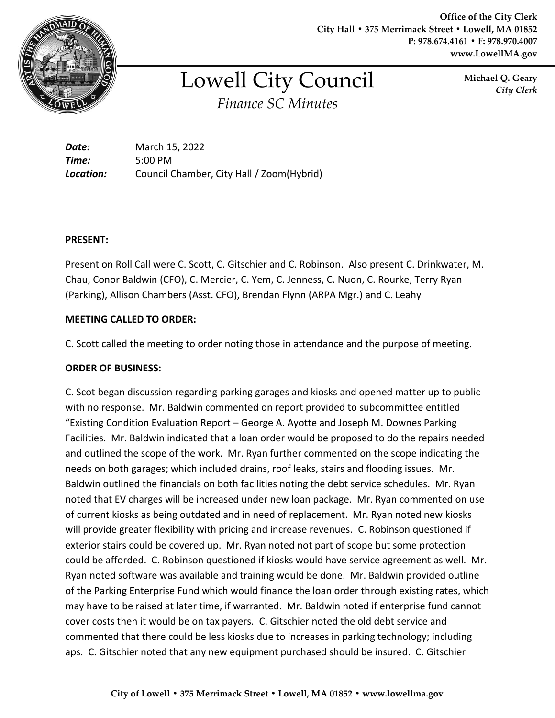

**Office of the City Clerk City Hall • 375 Merrimack Street • Lowell, MA 01852 P: 978.674.4161 • F: 978.970.4007 www.LowellMA.gov**

# Lowell City Council *Finance SC Minutes*

**Michael Q. Geary** *City Clerk*

*Date:* March 15, 2022 *Time:* 5:00 PM *Location:* Council Chamber, City Hall / Zoom(Hybrid)

## **PRESENT:**

Present on Roll Call were C. Scott, C. Gitschier and C. Robinson. Also present C. Drinkwater, M. Chau, Conor Baldwin (CFO), C. Mercier, C. Yem, C. Jenness, C. Nuon, C. Rourke, Terry Ryan (Parking), Allison Chambers (Asst. CFO), Brendan Flynn (ARPA Mgr.) and C. Leahy

## **MEETING CALLED TO ORDER:**

C. Scott called the meeting to order noting those in attendance and the purpose of meeting.

## **ORDER OF BUSINESS:**

C. Scot began discussion regarding parking garages and kiosks and opened matter up to public with no response. Mr. Baldwin commented on report provided to subcommittee entitled "Existing Condition Evaluation Report – George A. Ayotte and Joseph M. Downes Parking Facilities. Mr. Baldwin indicated that a loan order would be proposed to do the repairs needed and outlined the scope of the work. Mr. Ryan further commented on the scope indicating the needs on both garages; which included drains, roof leaks, stairs and flooding issues. Mr. Baldwin outlined the financials on both facilities noting the debt service schedules. Mr. Ryan noted that EV charges will be increased under new loan package. Mr. Ryan commented on use of current kiosks as being outdated and in need of replacement. Mr. Ryan noted new kiosks will provide greater flexibility with pricing and increase revenues. C. Robinson questioned if exterior stairs could be covered up. Mr. Ryan noted not part of scope but some protection could be afforded. C. Robinson questioned if kiosks would have service agreement as well. Mr. Ryan noted software was available and training would be done. Mr. Baldwin provided outline of the Parking Enterprise Fund which would finance the loan order through existing rates, which may have to be raised at later time, if warranted. Mr. Baldwin noted if enterprise fund cannot cover costs then it would be on tax payers. C. Gitschier noted the old debt service and commented that there could be less kiosks due to increases in parking technology; including aps. C. Gitschier noted that any new equipment purchased should be insured. C. Gitschier